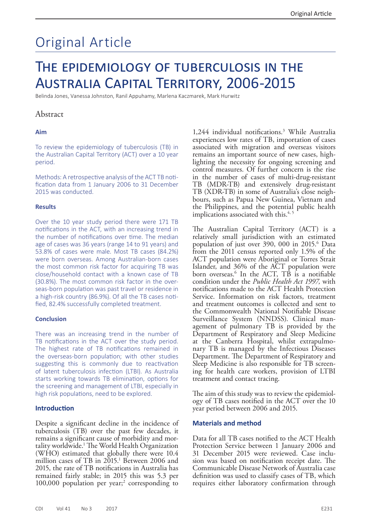# Original Article

## The epidemiology of tuberculosis in the Australia Capital Territory, 2006-2015

Belinda Jones, Vanessa Johnston, Ranil Appuhamy, Marlena Kaczmarek, Mark Hurwitz

## Abstract

#### **Aim**

To review the epidemiology of tuberculosis (TB) in the Australian Capital Territory (ACT) over a 10 year period.

Methods: A retrospective analysis of the ACT TB notification data from 1 January 2006 to 31 December 2015 was conducted.

#### **Results**

Over the 10 year study period there were 171 TB notifications in the ACT, with an increasing trend in the number of notifications over time. The median age of cases was 36 years (range 14 to 91 years) and 53.8% of cases were male. Most TB cases (84.2%) were born overseas. Among Australian-born cases the most common risk factor for acquiring TB was close/household contact with a known case of TB (30.8%). The most common risk factor in the overseas-born population was past travel or residence in a high-risk country (86.9%). Of all the TB cases notified, 82.4% successfully completed treatment.

#### **Conclusion**

There was an increasing trend in the number of TB notifications in the ACT over the study period. The highest rate of TB notifications remained in the overseas-born population; with other studies suggesting this is commonly due to reactivation of latent tuberculosis infection (LTBI). As Australia starts working towards TB elimination, options for the screening and management of LTBI, especially in high risk populations, need to be explored.

#### **Introduction**

Despite a significant decline in the incidence of tuberculosis (TB) over the past few decades, it remains a significant cause of morbidity and mor-<br>tality worldwide.<sup>1</sup> The World Health Organization (WHO) estimated that globally there were 10.4 million cases of TB in 2015.<sup>1</sup> Between 2006 and 2015, the rate of TB notifications in Australia has remained fairly stable; in 2015 this was 5.3 per 100,000 population per year;<sup>2</sup> corresponding to 1,244 individual notifications.3 While Australia experiences low rates of TB, importation of cases associated with migration and overseas visitors remains an important source of new cases, highlighting the necessity for ongoing screening and control measures. Of further concern is the rise in the number of cases of multi-drug-resistant TB (MDR-TB) and extensively drug-resistant TB (XDR-TB) in some of Australia's close neighbours, such as Papua New Guinea, Vietnam and the Philippines, and the potential public health implications associated with this.<sup>4, 5</sup>

The Australian Capital Territory (ACT) is a relatively small jurisdiction with an estimated population of just over 390, 000 in 2015.6 Data from the 2011 census reported only 1.5% of the ACT population were Aboriginal or Torres Strait Islander, and 36% of the ACT population were born overseas.6 In the ACT, TB is a notifiable condition under the *Public Health Act 1997,* with notifications made to the ACT Health Protection Service. Information on risk factors, treatment and treatment outcomes is collected and sent to the Commonwealth National Notifiable Disease Surveillance System (NNDSS). Clinical management of pulmonary TB is provided by the Department of Respiratory and Sleep Medicine at the Canberra Hospital, whilst extrapulmonary TB is managed by the Infectious Diseases Department. The Department of Respiratory and Sleep Medicine is also responsible for TB screening for health care workers, provision of LTBI treatment and contact tracing.

The aim of this study was to review the epidemiology of TB cases notified in the ACT over the 10 year period between 2006 and 2015.

#### **Materials and method**

Data for all TB cases notified to the ACT Health Protection Service between 1 January 2006 and 31 December 2015 were reviewed. Case inclusion was based on notification receipt date. The Communicable Disease Network of Australia case definition was used to classify cases of TB, which requires either laboratory confirmation through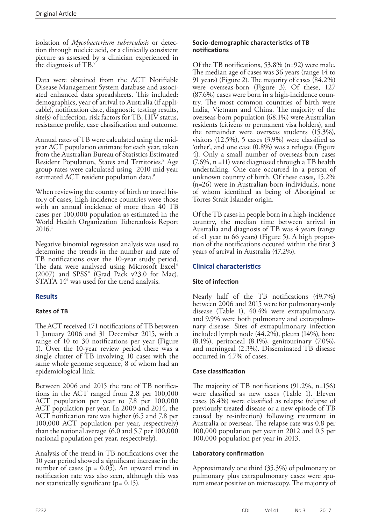isolation of *Mycobacterium tuberculosis* or detection through nucleic acid, or a clinically consistent picture as assessed by a clinician experienced in the diagnosis of TB.7

Data were obtained from the ACT Notifiable Disease Management System database and associated enhanced data spreadsheets. This included: demographics, year of arrival to Australia (if applicable), notification date, diagnostic testing results, site(s) of infection, risk factors for TB, HIV status, resistance profile, case classification and outcome.

Annual rates of TB were calculated using the midyear ACT population estimate for each year, taken from the Australian Bureau of Statistics Estimated Resident Population, States and Territories.<sup>8</sup> Age group rates were calculated using 2010 mid-year estimated ACT resident population data.<sup>9</sup>

When reviewing the country of birth or travel history of cases, high-incidence countries were those with an annual incidence of more than 40 TB cases per 100,000 population as estimated in the World Health Organization Tuberculosis Report 2016.1

Negative binomial regression analysis was used to determine the trends in the number and rate of TB notifications over the 10-year study period. The data were analysed using Microsoft Excel®  $(2007)$  and SPSS<sup>®</sup> (Grad Pack v23.0 for Mac). STATA 14® was used for the trend analysis.

## **Results**

## **Rates of TB**

The ACT received 171 notifications of TB between 1 January 2006 and 31 December 2015, with a range of 10 to 30 notifications per year (Figure 1). Over the 10-year review period there was a single cluster of TB involving 10 cases with the same whole genome sequence, 8 of whom had an epidemiological link.

Between 2006 and 2015 the rate of TB notifications in the ACT ranged from 2.8 per 100,000 ACT population per year to 7.8 per 100,000 ACT population per year. In 2009 and 2014, the ACT notification rate was higher (6.5 and 7.8 per 100,000 ACT population per year, respectively) than the national average (6.0 and 5.7 per 100,000 national population per year, respectively).

Analysis of the trend in TB notifications over the 10 year period showed a significant increase in the number of cases ( $p = 0.05$ ). An upward trend in notification rate was also seen, although this was not statistically significant ( $p = 0.15$ ).

### **Socio-demographic characteristics of TB notifications**

Of the TB notifications, 53.8% (n=92) were male. The median age of cases was 36 years (range 14 to 91 years) (Figure 2). The majority of cases (84.2%) were overseas-born (Figure 3). Of these, 127 (87.6%) cases were born in a high-incidence country. The most common countries of birth were India, Vietnam and China. The majority of the overseas-born population (68.1%) were Australian residents (citizens or permanent visa holders), and the remainder were overseas students (15.3%), visitors (12.5%), 5 cases (3.9%) were classified as 'other', and one case (0.8%) was a refugee (Figure 4). Only a small number of overseas-born cases (7.6%, n =11) were diagnosed through a TB health undertaking. One case occurred in a person of unknown country of birth. Of these cases, 15.2% (n=26) were in Australian-born individuals, none of whom identified as being of Aboriginal or Torres Strait Islander origin.

Of the TB cases in people born in a high-incidence country, the median time between arrival in Australia and diagnosis of TB was 4 years (range of <1 year to 66 years) (Figure 5). A high proportion of the notifications occured within the first 3 years of arrival in Australia (47.2%).

## **Clinical characteristics**

## **Site of infection**

Nearly half of the TB notifications (49.7%) between 2006 and 2015 were for pulmonary-only disease (Table 1), 40.4% were extrapulmonary, and 9.9% were both pulmonary and extrapulmo- nary disease. Sites of extrapulmonary infection included lymph node (44.2%), pleura (14%), bone (8.1%), peritoneal (8.1%), genitourinary (7.0%), and meningeal (2.3%). Disseminated TB disease occurred in 4.7% of cases.

## **Case classification**

The majority of TB notifications (91.2%, n=156) were classified as new cases (Table 1). Eleven cases (6.4%) were classified as relapse (relapse of previously treated disease or a new episode of TB caused by re-infection) following treatment in Australia or overseas. The relapse rate was 0.8 per 100,000 population per year in 2012 and 0.5 per 100,000 population per year in 2013.

#### **Laboratory confirmation**

Approximately one third (35.3%) of pulmonary or pulmonary plus extrapulmonary cases were sputum smear positive on microscopy. The majority of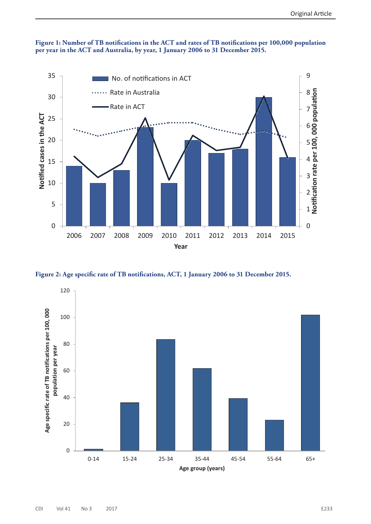

**Figure 1: Number of TB notifications in the ACT and rates of TB notifications per 100,000 population per year in the ACT and Australia, by year, 1 January 2006 to 31 December 2015.**

**Figure 2: Age specific rate of TB notifications, ACT, 1 January 2006 to 31 December 2015.**

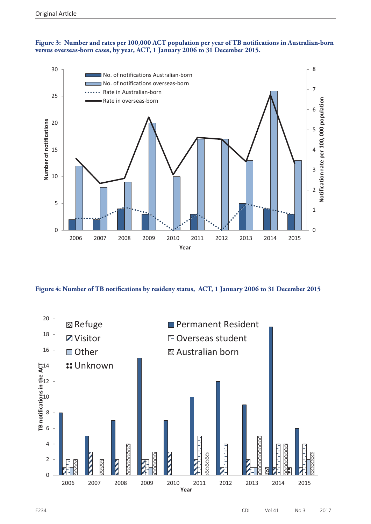**Figure 3: Number and rates per 100,000 ACT population per year of TB notifications in Australian-born versus overseas-born cases, by year, ACT, 1 January 2006 to 31 December 2015.**



**Figure 4: Number of TB notifications by resideny status, ACT, 1 January 2006 to 31 December 2015**

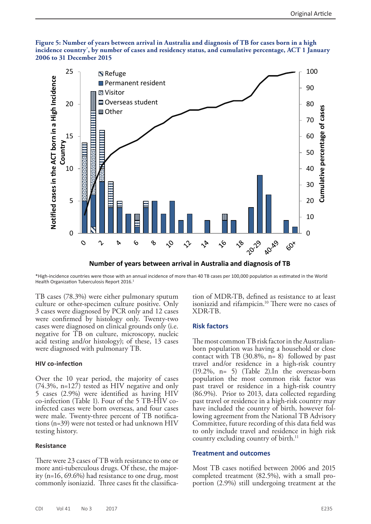#### **Figure 5: Number of years between arrival in Australia and diagnosis of TB for cases born in a high incidence country\* , by number of cases and residency status, and cumulative percentage, ACT 1 January 2006 to 31 December 2015**



**Number of years between arrival in Australia and diagnosis of TB**

\*High-incidence countries were those with an annual incidence of more than 40 TB cases per 100,000 population as estimated in the World Health Organization Tuberculosis Report 2016.<sup>1</sup>

TB cases (78.3%) were either pulmonary sputum culture or other-specimen culture positive. Only 3 cases were diagnosed by PCR only and 12 cases were confirmed by histology only. Twenty-two cases were diagnosed on clinical grounds only (i.e. negative for TB on culture, microscopy, nucleic acid testing and/or histology); of these, 13 cases were diagnosed with pulmonary TB.

#### **HIV co-infection**

Over the 10 year period, the majority of cases (74.3%, n=127) tested as HIV negative and only 5 cases (2.9%) were identified as having HIV co-infection (Table 1). Four of the 5 TB-HIV coinfected cases were born overseas, and four cases were male. Twenty-three percent of TB notifica- tions (n=39) were not tested or had unknown HIV testing history.

#### **Resistance**

There were 23 cases of TB with resistance to one or more anti-tuberculous drugs. Of these, the majority (n=16, 69.6%) had resistance to one drug, most commonly isoniazid. Three cases fit the classifica-

tion of MDR-TB, defined as resistance to at least isoniazid and rifampicin.<sup>10</sup> There were no cases of XDR-TB.

#### **Risk factors**

The most common TB risk factor in the Australianborn population was having a household or close contact with TB  $(30.8\%, n= 8)$  followed by past travel and/or residence in a high-risk country (19.2%, n= 5) (Table 2).In the overseas-born population the most common risk factor was past travel or residence in a high-risk country (86.9%). Prior to 2013, data collected regarding past travel or residence in a high-risk country may have included the country of birth, however following agreement from the National TB Advisory Committee, future recording of this data field was to only include travel and residence in high risk country excluding country of birth.<sup>11</sup>

#### **Treatment and outcomes**

Most TB cases notified between 2006 and 2015 completed treatment (82.5%), with a small proportion (2.9%) still undergoing treatment at the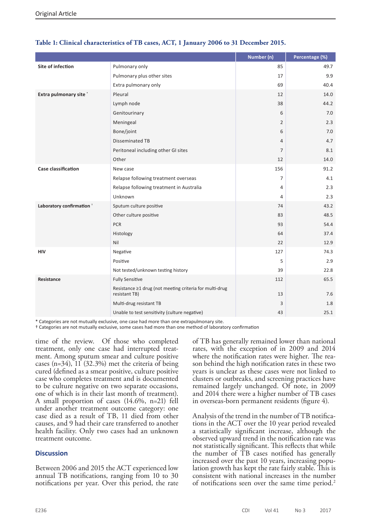|                            |                                                                          | Number (n)     | Percentage (%) |
|----------------------------|--------------------------------------------------------------------------|----------------|----------------|
| Site of infection          | Pulmonary only                                                           | 85             | 49.7           |
|                            | Pulmonary plus other sites                                               | 17             | 9.9            |
|                            | Extra pulmonary only                                                     | 69             | 40.4           |
| Extra pulmonary site *     | Pleural                                                                  | 12             | 14.0           |
|                            | Lymph node                                                               | 38             | 44.2           |
|                            | Genitourinary                                                            | 6              | 7.0            |
|                            | Meningeal                                                                | $\overline{2}$ | 2.3            |
|                            | Bone/joint                                                               | 6              | 7.0            |
|                            | <b>Disseminated TB</b>                                                   | $\overline{4}$ | 4.7            |
|                            | Peritoneal including other GI sites                                      | $\overline{7}$ | 8.1            |
|                            | Other                                                                    | 12             | 14.0           |
| <b>Case classification</b> | New case                                                                 | 156            | 91.2           |
|                            | Relapse following treatment overseas                                     | 7              | 4.1            |
|                            | Relapse following treatment in Australia                                 | 4              | 2.3            |
|                            | Unknown                                                                  | 4              | 2.3            |
| Laboratory confirmation +  | Sputum culture positive                                                  | 74             | 43.2           |
|                            | Other culture positive                                                   | 83             | 48.5           |
|                            | <b>PCR</b>                                                               | 93             | 54.4           |
|                            | Histology                                                                | 64             | 37.4           |
|                            | Nil                                                                      | 22             | 12.9           |
| <b>HIV</b>                 | Negative                                                                 | 127            | 74.3           |
|                            | Positive                                                                 | 5              | 2.9            |
|                            | Not tested/unknown testing history                                       | 39             | 22.8           |
| Resistance                 | <b>Fully Sensitive</b>                                                   | 112            | 65.5           |
|                            | Resistance ≥1 drug (not meeting criteria for multi-drug<br>resistant TB) | 13             | 7.6            |
|                            | Multi-drug resistant TB                                                  | 3              | 1.8            |
|                            | Unable to test sensitivity (culture negative)                            | 43             | 25.1           |

## **Table 1: Clinical characteristics of TB cases, ACT, 1 January 2006 to 31 December 2015.**

\* Categories are not mutually exclusive, one case had more than one extrapulmonary site.

† Categories are not mutually exclusive, some cases had more than one method of laboratory confirmation

time of the review. Of those who completed treatment, only one case had interrupted treat- ment. Among sputum smear and culture positive cases (n=34), 11 (32.3%) met the criteria of being cured (defined as a smear positive, culture positive case who completes treatment and is documented to be culture negative on two separate occasions, one of which is in their last month of treatment). A small proportion of cases (14.6%, n=21) fell under another treatment outcome category: one case died as a result of TB, 11 died from other causes, and 9 had their care transferred to another health facility. Only two cases had an unknown treatment outcome.

#### **Discussion**

Between 2006 and 2015 the ACT experienced low annual TB notifications, ranging from 10 to 30 notifications per year. Over this period, the rate

of TB has generally remained lower than national rates, with the exception of in 2009 and 2014 where the notification rates were higher. The reason behind the high notification rates in these two years is unclear as these cases were not linked to clusters or outbreaks, and screening practices have remained largely unchanged. Of note, in 2009 and 2014 there were a higher number of TB cases in overseas-born permanent residents (figure 4).

Analysis of the trend in the number of TB notifica- tions in the ACT over the 10 year period revealed a statistically significant increase, although the observed upward trend in the notification rate was not statistically significant. This reflects that while the number of TB cases notified has generally increased over the past 10 years, increasing population growth has kept the rate fairly stable. This is consistent with national increases in the number of notifications seen over the same time period.<sup>2</sup>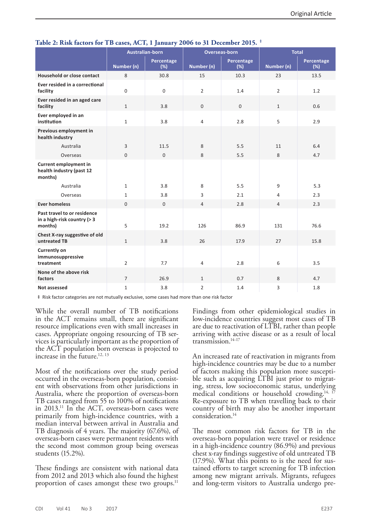|                                                                       | <b>Australian-born</b> |                   | Overseas-born  |                   | <b>Total</b>   |                   |
|-----------------------------------------------------------------------|------------------------|-------------------|----------------|-------------------|----------------|-------------------|
|                                                                       | Number (n)             | Percentage<br>(%) | Number (n)     | Percentage<br>(%) | Number (n)     | Percentage<br>(%) |
| Household or close contact                                            | 8                      | 30.8              | 15             | 10.3              | 23             | 13.5              |
| Ever resided in a correctional<br>facility                            | $\Omega$               | $\mathbf{0}$      | $\overline{2}$ | 1.4               | $\overline{2}$ | 1.2               |
| Ever resided in an aged care<br>facility                              | $\mathbf{1}$           | 3.8               | $\mathbf{0}$   | $\mathbf{0}$      | $\mathbf{1}$   | 0.6               |
| Ever employed in an<br>institution                                    | $\mathbf{1}$           | 3.8               | $\overline{4}$ | 2.8               | 5              | 2.9               |
| Previous employment in<br>health industry                             |                        |                   |                |                   |                |                   |
| Australia                                                             | 3                      | 11.5              | 8              | 5.5               | 11             | 6.4               |
| Overseas                                                              | $\mathbf{0}$           | $\mathbf{0}$      | 8              | 5.5               | 8              | 4.7               |
| Current employment in<br>health industry (past 12<br>months)          |                        |                   |                |                   |                |                   |
| Australia                                                             | $\mathbf{1}$           | 3.8               | 8              | 5.5               | 9              | 5.3               |
| Overseas                                                              | $\mathbf{1}$           | 3.8               | 3              | 2.1               | 4              | 2.3               |
| <b>Ever homeless</b>                                                  | $\mathbf{0}$           | $\mathbf{0}$      | $\overline{4}$ | 2.8               | $\overline{4}$ | 2.3               |
| Past travel to or residence<br>in a high-risk country (> 3<br>months) | 5                      | 19.2              | 126            | 86.9              | 131            | 76.6              |
| Chest X-ray suggestive of old<br>untreated TB                         | $\mathbf{1}$           | 3.8               | 26             | 17.9              | 27             | 15.8              |
| <b>Currently on</b><br>immunosuppressive<br>treatment                 | $\overline{2}$         | 7.7               | $\overline{4}$ | 2.8               | 6              | 3.5               |
| None of the above risk<br>factors                                     | $\overline{7}$         | 26.9              | $\mathbf{1}$   | 0.7               | 8              | 4.7               |
| Not assessed                                                          | $\mathbf{1}$           | 3.8               | $\overline{2}$ | 1.4               | 3              | 1.8               |

## **Table 2: Risk factors for TB cases, ACT, 1 January 2006 to 31 December 2015. ‡**

‡ Risk factor categories are not mutually exclusive, some cases had more than one risk factor

While the overall number of TB notifications in the ACT remains small, there are significant resource implications even with small increases in cases. Appropriate ongoing resourcing of TB services is particularly important as the proportion of the ACT population born overseas is projected to increase in the future.<sup>12, 13</sup>

Most of the notifications over the study period occurred in the overseas-born population, consistent with observations from other jurisdictions in Australia, where the proportion of overseas-born TB cases ranged from 55 to 100% of notifications in 2013.11 In the ACT, overseas-born cases were primarily from high-incidence countries, with a median interval between arrival in Australia and TB diagnosis of 4 years. The majority (67.6%), of overseas-born cases were permanent residents with the second most common group being overseas students (15.2%).

These findings are consistent with national data from 2012 and 2013 which also found the highest proportion of cases amongst these two groups.<sup>11</sup>

Findings from other epidemiological studies in low-incidence countries suggest most cases of TB are due to reactivation of LTBI, rather than people arriving with active disease or as a result of local transmission.14-17

An increased rate of reactivation in migrants from high-incidence countries may be due to a number of factors making this population more susceptible such as acquiring LTBI just prior to migrating, stress, low socioeconomic status, underlying medical conditions or household crowding.<sup>14, 17</sup> Re-exposure to TB when travelling back to their country of birth may also be another important consideration.14

The most common risk factors for TB in the overseas-born population were travel or residence in a high-incidence country (86.9%) and previous chest x-ray findings suggestive of old untreated TB (17.9%). What this points to is the need for sustained efforts to target screening for TB infection among new migrant arrivals. Migrants, refugees and long-term visitors to Australia undergo pre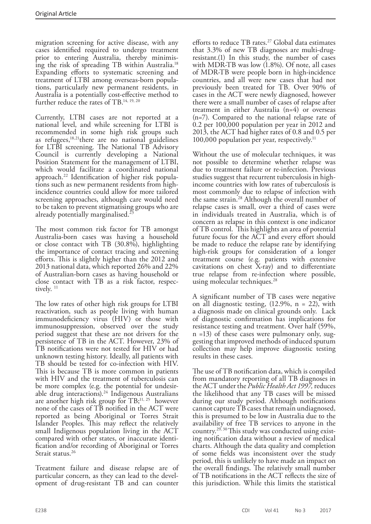migration screening for active disease, with any cases identified required to undergo treatment prior to entering Australia, thereby minimising the risk of spreading TB within Australia.18 Expanding efforts to systematic screening and treatment of LTBI among overseas-born populations, particularly new permanent residents, in Australia is a potentially cost-effective method to further reduce the rates of TB.<sup>14, 19, 20</sup>

Currently, LTBI cases are not reported at a national level, and while screening for LTBI is recommended in some high risk groups such as refugees,18,21there are no national guidelines for LTBI screening. The National TB Advisory Council is currently developing a National Position Statement for the management of LTBI, which would facilitate a coordinated national approach.22 Identification of higher risk populations such as new permanent residents from highincidence countries could allow for more tailored screening approaches, although care would need to be taken to prevent stigmatising groups who are already potentially marginalised.<sup>2</sup>

The most common risk factor for TB amongst Australia-born cases was having a household or close contact with TB (30.8%), highlighting the importance of contact tracing and screening efforts. This is slightly higher than the 2012 and 2013 national data, which reported 26% and 22% of Australian-born cases as having household or close contact with TB as a risk factor, respectively.<sup>11</sup>

The low rates of other high risk groups for LTBI reactivation, such as people living with human immunodeficiency virus (HIV) or those with immunosuppression, observed over the study period suggest that these are not drivers for the persistence of TB in the ACT. However, 23% of TB notifications were not tested for HIV or had unknown testing history. Ideally, all patients with TB should be tested for co-infection with HIV. This is because TB is more common in patients with HIV and the treatment of tuberculosis can be more complex (e.g. the potential for undesirable drug interactions).<sup>24</sup> Indigenous Australians are another high risk group for TB;<sup>11, 25</sup> however none of the cases of TB notified in the ACT were reported as being Aboriginal or Torres Strait Islander Peoples. This may reflect the relatively small Indigenous population living in the ACT compared with other states, or inaccurate identi- fication and/or recording of Aboriginal or Torres Strait status.<sup>26</sup>

Treatment failure and disease relapse are of particular concern, as they can lead to the development of drug-resistant TB and can counter

efforts to reduce TB rates.<sup>27</sup> Global data estimates that 3.3% of new TB diagnoses are multi-drugresistant.(1) In this study, the number of cases with MDR-TB was low (1.8%). Of note, all cases of MDR-TB were people born in high-incidence countries, and all were new cases that had not previously been treated for TB. Over 90% of cases in the ACT were newly diagnosed, however there were a small number of cases of relapse after treatment in either Australia (n=4) or overseas (n=7). Compared to the national relapse rate of 0.2 per 100,000 population per year in 2012 and 2013, the ACT had higher rates of 0.8 and 0.5 per 100,000 population per year, respectively.<sup>11</sup>

Without the use of molecular techniques, it was not possible to determine whether relapse was due to treatment failure or re-infection. Previous studies suggest that recurrent tuberculosis in highincome countries with low rates of tuberculosis is most commonly due to relapse of infection with the same strain.28 Although the overall number of relapse cases is small, over a third of cases were in individuals treated in Australia, which is of concern as relapse in this context is one indicator of TB control. This highlights an area of potential future focus for the ACT and every effort should be made to reduce the relapse rate by identifying high-risk groups for consideration of a longer treatment course (e.g. patients with extensive cavitations on chest X-ray) and to differentiate true relapse from re-infection where possible, using molecular techniques.<sup>28</sup>

A significant number of TB cases were negative on all diagnostic testing,  $(12.9\% , n = 22)$ , with a diagnosis made on clinical grounds only. Lack of diagnostic confirmation has implications for resistance testing and treatment. Over half (59%, n =13) of these cases were pulmonary only, sug- gesting that improved methods of induced sputum collection may help improve diagnostic testing results in these cases.

The use of TB notification data, which is compiled from mandatory reporting of all TB diagnoses in the ACT under the *Public Health Act 1997,* reduces the likelihood that any TB cases will be missed during our study period. Although notifications cannot capture TB cases that remain undiagnosed, this is presumed to be low in Australia due to the availability of free TB services to anyone in the country.<sup>29, 30</sup> This study was conducted using existing notification data without a review of medical charts. Although the data quality and completion of some fields was inconsistent over the study period, this is unlikely to have made an impact on the overall findings. The relatively small number of TB notifications in the ACT reflects the size of this jurisdiction. While this limits the statistical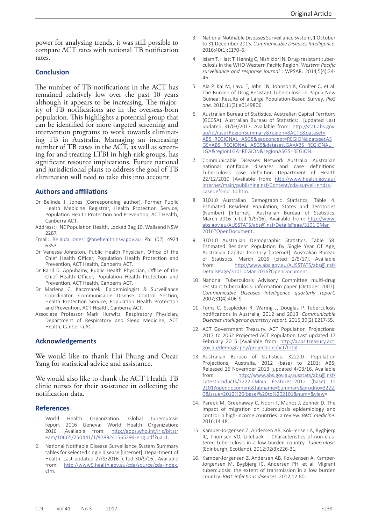power for analysing trends, it was still possible to compare ACT rates with national TB notification rates.

#### **Conclusion**

The number of TB notifications in the ACT has remained relatively low over the past 10 years although it appears to be increasing. The majority of TB notifications are in the overseas-born population. This highlights a potential group that can be identified for more targeted screening and intervention programs to work towards eliminating TB in Australia. Managing an increasing number of TB cases in the ACT, as well as screening for and treating LTBI in high-risk groups, has significant resource implications. Future national and jurisdictional plans to address the goal of TB elimination will need to take this into account.

#### **Authors and affiliations**

- Dr Belinda J. Jones (Corresponding author), Former Public Health Medicine Registrar, Health Protection Service, Population Health Protection and Prevention, ACT Health, Canberra ACT.
- Address: HNE Population Health, Locked Bag 10, Wallsend NSW 2287.
- Email: [Belinda.Jones1@hnehealth.nsw.gov.au](mailto:Belinda.Jones1@hnehealth.nsw.gov.au) Ph: (02) 4924 6353
- Dr Vanessa Johnston, Public Health Physician, Office of the Chief Health Officer, Population Health Protection and Prevention, ACT Health, Canberra ACT.
- Dr Ranil D. Appuhamy, Public Health Physician, Office of the Chief Health Officer, Population Health Protection and Prevention, ACT Health, Canberra ACT.
- Dr Marlena C. Kaczmarek, Epidemiologist & Surveillance Coordinator, Communicable Disease Control Section, Health Protection Service, Population Health Protection and Prevention, ACT Health, Canberra ACT.
- Associate Professor Mark Hurwitz, Respiratory Physician, Department of Respiratory and Sleep Medicine, ACT Health, Canberra ACT.

#### **Acknowledgements**

We would like to thank Hai Phung and Oscar Yang for statistical advice and assistance.

We would also like to thank the ACT Health TB clinic nurses for their assistance in collecting the notification data.

#### **References**

- 1. World Health Organization. Global tuberculosis report 2016 Geneva: World Health Organization; 2016 [Available from: [http://apps.who.int/iris/bitstr](http://apps.who.int/iris/bitstream/10665/250441/1/9789241565394-eng.pdf?ua=1) [eam/10665/250441/1/9789241565394-eng.pdf?ua=1](http://apps.who.int/iris/bitstream/10665/250441/1/9789241565394-eng.pdf?ua=1).
- 2. National Notifiable Disease Surveillance System Summary tables for selected single disease [Internet]. Department of Health. Last updated 27/9/2016 [cited 30/9/16]. Available from: [http://www9.health.gov.au/cda/source/cda-index.](http://www9.health.gov.au/cda/source/cda-index.cfm) [cfm.](http://www9.health.gov.au/cda/source/cda-index.cfm)
- 3. National Notifiable Diseases Surveillance System, 1 October to 31 December 2015. *Communicable Diseases Intelligence*. 2016;40(1):E170-6.
- 4. Islam T, Hiatt T, Hennig C, Nishikiori N. Drug-resistant tuberculosis in the WHO Western Pacific Region. *Western Pacific surveillance and response journal* : WPSAR. 2014;5(4):34- 46.
- 5. Aia P, Kal M, Lavu E, John LN, Johnson K, Coulter C, et al. The Burden of Drug-Resistant Tuberculosis in Papua New Guinea: Results of a Large Population-Based Survey. *PloS one*. 2016;11(3):e0149806.
- 6. Australian Bureau of Statistics. Australian Capital Territory (GCCSA): Australian Bureau of Statistics; [updated Last updated 31/03/2017. Available from: [http://stat.abs.gov.](http://stat.abs.gov.au/itt/r.jsp?RegionSummary®ion=8ACTE&dataset=ABS_REGIONAL_ASGS&geoconcept=REGION&datasetASGS=ABS_REGIONAL_ASGS&datasetLGA=ABS_REGIONAL_LGA®ionLGA=REGION®ionASGS=REGION) [au/itt/r.jsp?RegionSummary&region=8ACTE&dataset=](http://stat.abs.gov.au/itt/r.jsp?RegionSummary®ion=8ACTE&dataset=ABS_REGIONAL_ASGS&geoconcept=REGION&datasetASGS=ABS_REGIONAL_ASGS&datasetLGA=ABS_REGIONAL_LGA®ionLGA=REGION®ionASGS=REGION) [ABS\\_REGIONAL\\_ASGS&geoconcept=REGION&datasetAS](http://stat.abs.gov.au/itt/r.jsp?RegionSummary®ion=8ACTE&dataset=ABS_REGIONAL_ASGS&geoconcept=REGION&datasetASGS=ABS_REGIONAL_ASGS&datasetLGA=ABS_REGIONAL_LGA®ionLGA=REGION®ionASGS=REGION) [GS=ABS\\_REGIONAL\\_ASGS&datasetLGA=ABS\\_REGIONAL\\_](http://stat.abs.gov.au/itt/r.jsp?RegionSummary®ion=8ACTE&dataset=ABS_REGIONAL_ASGS&geoconcept=REGION&datasetASGS=ABS_REGIONAL_ASGS&datasetLGA=ABS_REGIONAL_LGA®ionLGA=REGION®ionASGS=REGION) [LGA&regionLGA=REGION&regionASGS=REGION](http://stat.abs.gov.au/itt/r.jsp?RegionSummary®ion=8ACTE&dataset=ABS_REGIONAL_ASGS&geoconcept=REGION&datasetASGS=ABS_REGIONAL_ASGS&datasetLGA=ABS_REGIONAL_LGA®ionLGA=REGION®ionASGS=REGION).
- Communicable Diseases Network Australia. Australian national notifiable diseases and case definitions: Tuberculosis case definition Department of Health 22/12/2010 [Available from: [http://www.health.gov.au/](http://www.health.gov.au/internet/main/publishing.nsf/Content/cda-surveil-nndss-casedefs-cd_tb.htm) [internet/main/publishing.nsf/Content/cda-surveil-nndss](http://www.health.gov.au/internet/main/publishing.nsf/Content/cda-surveil-nndss-casedefs-cd_tb.htm)[casedefs-cd\\_tb.htm](http://www.health.gov.au/internet/main/publishing.nsf/Content/cda-surveil-nndss-casedefs-cd_tb.htm).
- 8. 3101.0 Australian Demographic Statistics, Table 4. Estimated Resident Population, States and Territories (Number) [Internet]. Australian Bureau of Statistics. March 2016 [cited 1/9/16]. Available from: [http://www.](http://www.abs.gov.au/AUSSTATS/abs@.nsf/DetailsPage/3101.0Mar%202016?OpenDocument) [abs.gov.au/AUSSTATS/abs@.nsf/DetailsPage/3101.0Mar](http://www.abs.gov.au/AUSSTATS/abs@.nsf/DetailsPage/3101.0Mar%202016?OpenDocument)  [2016?OpenDocument](http://www.abs.gov.au/AUSSTATS/abs@.nsf/DetailsPage/3101.0Mar%202016?OpenDocument).
- 9. 3101.0 Australian Demographic Statistics, Table 58. Estimated Resident Population By Single Year Of Age, Australian Capital Territory [Internet]. Australian Bureau of Statistics. March 2016 [cited 2/5/17]. Available from: [http://www.abs.gov.au/AUSSTATS/abs@.nsf/](http://www.abs.gov.au/AUSSTATS/abs@.nsf/DetailsPage/3101.0Mar%202016?OpenDocument) [DetailsPage/3101.0Mar 2016?OpenDocument](http://www.abs.gov.au/AUSSTATS/abs@.nsf/DetailsPage/3101.0Mar%202016?OpenDocument).
- 10. National Tuberculosis Advisory Committee multi-drug resistant tuberculosis: information paper (October 2007). *Communicable Diseases Intelligence quarterly report.*  2007;31(4):406-9.
- 11. Toms C, Stapledon R, Waring J, Douglas P. Tuberculosis notifications in Australia, 2012 and 2013. *Communicable Diseases Intelligence quarterly report.* 2015;39(2):E217-35.
- 12. ACT Government Treasury. ACT Population Projections: 2013 to 2062 Projected ACT Population Last updated 17 February 2015 [Available from: [http://apps.treasury.act.](http://apps.treasury.act.gov.au/demography/projections/act/total) [gov.au/demography/projections/act/total](http://apps.treasury.act.gov.au/demography/projections/act/total).
- 13. Australian Bureau of Statistics. 3222.0- Population Projections, Australia, 2012 (base) to 2101: ABS; Released 26 November 2013 [updated 4/03/16. Available from: [http://www.abs.gov.au/ausstats/abs@.nsf/](http://www.abs.gov.au/ausstats/abs@.nsf/Latestproducts/3222.0Main%20Features12012%20(base)%20to%202101?opendocument&tabname=Summary&prodno=3222.0&issue=2012%20(base)%20to%202101&num=&view) [Latestproducts/3222.0Main Features12012 \(base\) to](http://www.abs.gov.au/ausstats/abs@.nsf/Latestproducts/3222.0Main%20Features12012%20(base)%20to%202101?opendocument&tabname=Summary&prodno=3222.0&issue=2012%20(base)%20to%202101&num=&view)  [2101?opendocument&tabname=Summary&prodno=3222.](http://www.abs.gov.au/ausstats/abs@.nsf/Latestproducts/3222.0Main%20Features12012%20(base)%20to%202101?opendocument&tabname=Summary&prodno=3222.0&issue=2012%20(base)%20to%202101&num=&view) [0&issue=2012%20\(base\)%20to%202101&num=&view](http://www.abs.gov.au/ausstats/abs@.nsf/Latestproducts/3222.0Main%20Features12012%20(base)%20to%202101?opendocument&tabname=Summary&prodno=3222.0&issue=2012%20(base)%20to%202101&num=&view)=.
- 14. Pareek M, Greenaway C, Noori T, Munoz J, Zenner D. The impact of migration on tuberculosis epidemiology and control in high-income countries: a review. *BMC medicine.*  2016;14:48.
- 15. Kamper-Jorgensen Z, Andersen AB, Kok-Jensen A, Bygbjerg IC, Thomsen VO, Lillebaek T. Characteristics of non-clustered tuberculosis in a low burden country. *Tuberculosis*  (Edinburgh, Scotland). 2012;92(3):226-31.
- 16. Kamper-Jorgensen Z, Andersen AB, Kok-Jensen A, Kamper-Jorgensen M, Bygbjerg IC, Andersen PH, et al. Migrant tuberculosis: the extent of transmission in a low burden country. *BMC infectious diseases*. 2012;12:60.